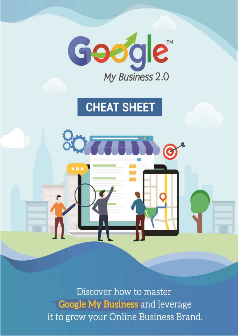

Discover how to master Google My Business and leverage it to grow your Online Business Brand.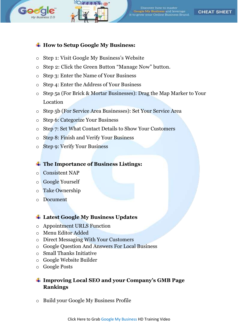



Discover how to master Google My Business and leverage<br>to grow your Online Business Brand

#### **CHEAT SHEET**

#### **How to Setup Google My Business:**

- o Step 1: Visit Google My Business's Website
- o Step 2: Click the Green Button "Manage Now" button.
- o Step 3: Enter the Name of Your Business
- o Step 4: Enter the Address of Your Business
- o Step 5a (For Brick & Mortar Businesses): Drag the Map Marker to Your Location
- o Step 5b (For Service Area Businesses): Set Your Service Area
- o Step 6: Categorize Your Business
- o Step 7: Set What Contact Details to Show Your Customers
- o Step 8: Finish and Verify Your Business
- o Step 9: Verify Your Business

#### **The Importance of Business Listings:**

- o Consistent NAP
- o Google Yourself
- o Take Ownership
- o Document

#### **Latest Google My Business Updates**

- o Appointment URLS Function
- o Menu Editor Added
- o Direct Messaging With Your Customers
- o Google Question And Answers For Local Business
- o Small Thanks Initiative
- o Google Website Builder
- o Google Posts

## **Improving Local SEO and your Company's GMB Page Rankings**

o Build your Google My Business Profile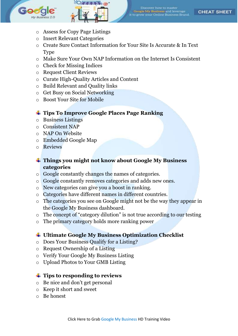



.<br>Google <mark>My Business</mark> and leverage<br>5 grow your Online Business Branc

**CHEAT SHEET** 

- o Assess for Copy Page Listings
- o Insert Relevant Categories
- o Create Sure Contact Information for Your Site Is Accurate & In Text Type
- o Make Sure Your Own NAP Information on the Internet Is Consistent
- o Check for Missing Indices
- o Request Client Reviews
- o Curate High-Quality Articles and Content
- o Build Relevant and Quality links
- o Get Busy on Social Networking
- o Boost Your Site for Mobile

## **Tips To Improve Google Places Page Ranking**

- o Business Listings
- o Consistent NAP
- o NAP On Website
- o Embedded Google Map
- o Reviews
- **Things you might not know about Google My Business categories**
- o Google constantly changes the names of categories.
- o Google constantly removes categories and adds new ones.
- o New categories can give you a boost in ranking.
- o Categories have different names in different countries.
- o The categories you see on Google might not be the way they appear in the Google My Business dashboard.
- o The concept of "category dilution" is not true according to our testing
- o The primary category holds more ranking power

## **Ultimate Google My Business Optimization Checklist**

- o Does Your Business Qualify for a Listing?
- o Request Ownership of a Listing
- o Verify Your Google My Business Listing
- o Upload Photos to Your GMB Listing

## **Tips to responding to reviews**

- o Be nice and don't get personal
- o Keep it short and sweet
- o Be honest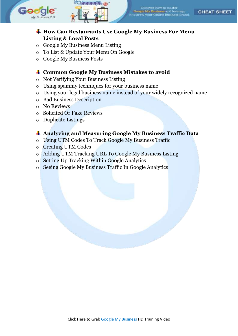



Discover how to master **Google My Business and leverag<br>o grow your Online Business Br** 

**CHEAT SHEET** 

## **How Can Restaurants Use Google My Business For Menu Listing & Local Posts**

- o Google My Business Menu Listing
- o To List & Update Your Menu On Google
- o Google My Business Posts

## **Common Google My Business Mistakes to avoid**

- o Not Verifying Your Business Listing
- o Using spammy techniques for your business name
- o Using your legal business name instead of your widely recognized name
- o Bad Business Description
- o No Reviews
- o Solicited Or Fake Reviews
- o Duplicate Listings

## **Analyzing and Measuring Google My Business Traffic Data**

- o Using UTM Codes To Track Google My Business Traffic
- o Creating UTM Codes
- o Adding UTM Tracking URL To Google My Business Listing
- o Setting Up Tracking Within Google Analytics
- o Seeing Google My Business Traffic In Google Analytics